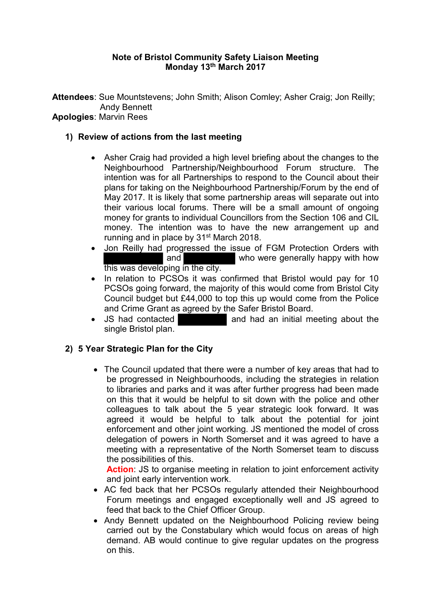## **Note of Bristol Community Safety Liaison Meeting Monday 13th March 2017**

**Attendees**: Sue Mountstevens; John Smith; Alison Comley; Asher Craig; Jon Reilly; Andy Bennett

# **Apologies**: Marvin Rees

## **1) Review of actions from the last meeting**

- Asher Craig had provided a high level briefing about the changes to the Neighbourhood Partnership/Neighbourhood Forum structure. The intention was for all Partnerships to respond to the Council about their plans for taking on the Neighbourhood Partnership/Forum by the end of May 2017. It is likely that some partnership areas will separate out into their various local forums. There will be a small amount of ongoing money for grants to individual Councillors from the Section 106 and CIL money. The intention was to have the new arrangement up and running and in place by 31<sup>st</sup> March 2018.
- Jon Reilly had progressed the issue of FGM Protection Orders with and who were generally happy with how this was developing in the city.
- In relation to PCSOs it was confirmed that Bristol would pay for 10 PCSOs going forward, the majority of this would come from Bristol City Council budget but £44,000 to top this up would come from the Police and Crime Grant as agreed by the Safer Bristol Board.
- JS had contacted **and had an initial meeting about the** single Bristol plan.

## **2) 5 Year Strategic Plan for the City**

• The Council updated that there were a number of key areas that had to be progressed in Neighbourhoods, including the strategies in relation to libraries and parks and it was after further progress had been made on this that it would be helpful to sit down with the police and other colleagues to talk about the 5 year strategic look forward. It was agreed it would be helpful to talk about the potential for joint enforcement and other joint working. JS mentioned the model of cross delegation of powers in North Somerset and it was agreed to have a meeting with a representative of the North Somerset team to discuss the possibilities of this.

**Action:** JS to organise meeting in relation to joint enforcement activity and joint early intervention work.

- AC fed back that her PCSOs regularly attended their Neighbourhood Forum meetings and engaged exceptionally well and JS agreed to feed that back to the Chief Officer Group.
- Andy Bennett updated on the Neighbourhood Policing review being carried out by the Constabulary which would focus on areas of high demand. AB would continue to give regular updates on the progress on this.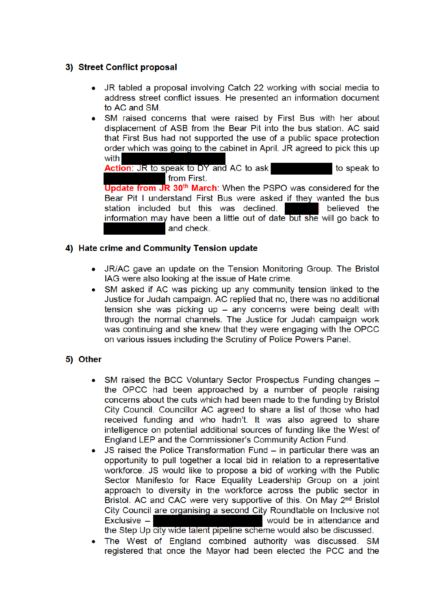## 3) Street Conflict proposal

- JR tabled a proposal involving Catch 22 working with social media to address street conflict issues. He presented an information document to AC and SM.
- SM raised concerns that were raised by First Bus with her about displacement of ASB from the Bear Pit into the bus station. AC said that First Bus had not supported the use of a public space protection order which was going to the cabinet in April. JR agreed to pick this up with

Action: JR to speak to DY and AC to ask to speak to from First.

**Update from JR 30<sup>th</sup> March**: When the PSPO was considered for the Bear Pit I understand First Bus were asked if they wanted the bus station included but this was declined. believed the information may have been a little out of date but she will go back to and check.

## 4) Hate crime and Community Tension update

- JR/AC gave an update on the Tension Monitoring Group. The Bristol IAG were also looking at the issue of Hate crime.
- SM asked if AC was picking up any community tension linked to the Justice for Judah campaign. AC replied that no, there was no additional tension she was picking up  $-$  any concerns were being dealt with through the normal channels. The Justice for Judah campaign work was continuing and she knew that they were engaging with the OPCC on various issues including the Scrutiny of Police Powers Panel.

## 5) Other

- SM raised the BCC Voluntary Sector Prospectus Funding changes - $\bullet$ the OPCC had been approached by a number of people raising concerns about the cuts which had been made to the funding by Bristol City Council. Councillor AC agreed to share a list of those who had received funding and who hadn't. It was also agreed to share intelligence on potential additional sources of funding like the West of England LEP and the Commissioner's Community Action Fund.
- JS raised the Police Transformation Fund in particular there was an opportunity to pull together a local bid in relation to a representative workforce. JS would like to propose a bid of working with the Public Sector Manifesto for Race Equality Leadership Group on a joint approach to diversity in the workforce across the public sector in Bristol. AC and CAC were very supportive of this. On May 2<sup>nd</sup> Bristol City Council are organising a second City Roundtable on Inclusive not  $Exclusive$ would be in attendance and the Step Up city wide talent pipeline scheme would also be discussed.
- The West of England combined authority was discussed. SM registered that once the Mayor had been elected the PCC and the